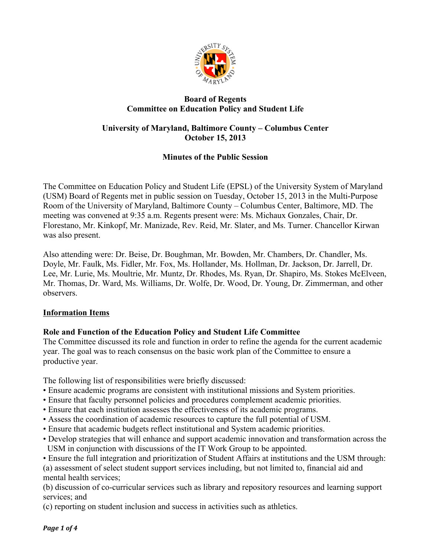

## **Board of Regents Committee on Education Policy and Student Life**

## **University of Maryland, Baltimore County – Columbus Center October 15, 2013**

# **Minutes of the Public Session**

The Committee on Education Policy and Student Life (EPSL) of the University System of Maryland (USM) Board of Regents met in public session on Tuesday, October 15, 2013 in the Multi-Purpose Room of the University of Maryland, Baltimore County – Columbus Center, Baltimore, MD. The meeting was convened at 9:35 a.m. Regents present were: Ms. Michaux Gonzales, Chair, Dr. Florestano, Mr. Kinkopf, Mr. Manizade, Rev. Reid, Mr. Slater, and Ms. Turner. Chancellor Kirwan was also present.

Also attending were: Dr. Beise, Dr. Boughman, Mr. Bowden, Mr. Chambers, Dr. Chandler, Ms. Doyle, Mr. Faulk, Ms. Fidler, Mr. Fox, Ms. Hollander, Ms. Hollman, Dr. Jackson, Dr. Jarrell, Dr. Lee, Mr. Lurie, Ms. Moultrie, Mr. Muntz, Dr. Rhodes, Ms. Ryan, Dr. Shapiro, Ms. Stokes McElveen, Mr. Thomas, Dr. Ward, Ms. Williams, Dr. Wolfe, Dr. Wood, Dr. Young, Dr. Zimmerman, and other observers.

## **Information Items**

# **Role and Function of the Education Policy and Student Life Committee**

The Committee discussed its role and function in order to refine the agenda for the current academic year. The goal was to reach consensus on the basic work plan of the Committee to ensure a productive year.

The following list of responsibilities were briefly discussed:

- Ensure academic programs are consistent with institutional missions and System priorities.
- Ensure that faculty personnel policies and procedures complement academic priorities.
- Ensure that each institution assesses the effectiveness of its academic programs.
- Assess the coordination of academic resources to capture the full potential of USM.
- Ensure that academic budgets reflect institutional and System academic priorities.
- Develop strategies that will enhance and support academic innovation and transformation across the USM in conjunction with discussions of the IT Work Group to be appointed.
- Ensure the full integration and prioritization of Student Affairs at institutions and the USM through:

(a) assessment of select student support services including, but not limited to, financial aid and mental health services;

(b) discussion of co-curricular services such as library and repository resources and learning support services; and

(c) reporting on student inclusion and success in activities such as athletics.

*Page* 1 of 4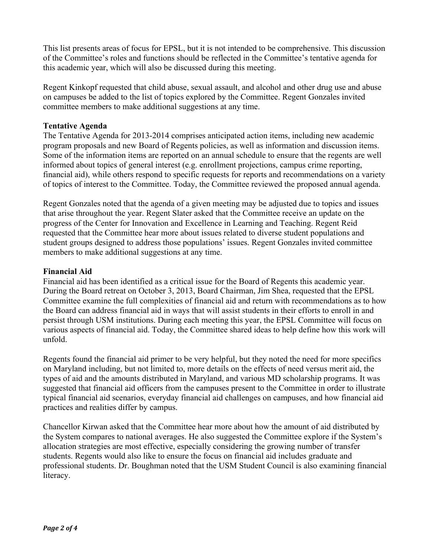This list presents areas of focus for EPSL, but it is not intended to be comprehensive. This discussion of the Committee's roles and functions should be reflected in the Committee's tentative agenda for this academic year, which will also be discussed during this meeting.

Regent Kinkopf requested that child abuse, sexual assault, and alcohol and other drug use and abuse on campuses be added to the list of topics explored by the Committee. Regent Gonzales invited committee members to make additional suggestions at any time.

#### **Tentative Agenda**

The Tentative Agenda for 2013-2014 comprises anticipated action items, including new academic program proposals and new Board of Regents policies, as well as information and discussion items. Some of the information items are reported on an annual schedule to ensure that the regents are well informed about topics of general interest (e.g. enrollment projections, campus crime reporting, financial aid), while others respond to specific requests for reports and recommendations on a variety of topics of interest to the Committee. Today, the Committee reviewed the proposed annual agenda.

Regent Gonzales noted that the agenda of a given meeting may be adjusted due to topics and issues that arise throughout the year. Regent Slater asked that the Committee receive an update on the progress of the Center for Innovation and Excellence in Learning and Teaching. Regent Reid requested that the Committee hear more about issues related to diverse student populations and student groups designed to address those populations' issues. Regent Gonzales invited committee members to make additional suggestions at any time.

## **Financial Aid**

Financial aid has been identified as a critical issue for the Board of Regents this academic year. During the Board retreat on October 3, 2013, Board Chairman, Jim Shea, requested that the EPSL Committee examine the full complexities of financial aid and return with recommendations as to how the Board can address financial aid in ways that will assist students in their efforts to enroll in and persist through USM institutions. During each meeting this year, the EPSL Committee will focus on various aspects of financial aid. Today, the Committee shared ideas to help define how this work will unfold.

Regents found the financial aid primer to be very helpful, but they noted the need for more specifics on Maryland including, but not limited to, more details on the effects of need versus merit aid, the types of aid and the amounts distributed in Maryland, and various MD scholarship programs. It was suggested that financial aid officers from the campuses present to the Committee in order to illustrate typical financial aid scenarios, everyday financial aid challenges on campuses, and how financial aid practices and realities differ by campus.

Chancellor Kirwan asked that the Committee hear more about how the amount of aid distributed by the System compares to national averages. He also suggested the Committee explore if the System's allocation strategies are most effective, especially considering the growing number of transfer students. Regents would also like to ensure the focus on financial aid includes graduate and professional students. Dr. Boughman noted that the USM Student Council is also examining financial literacy.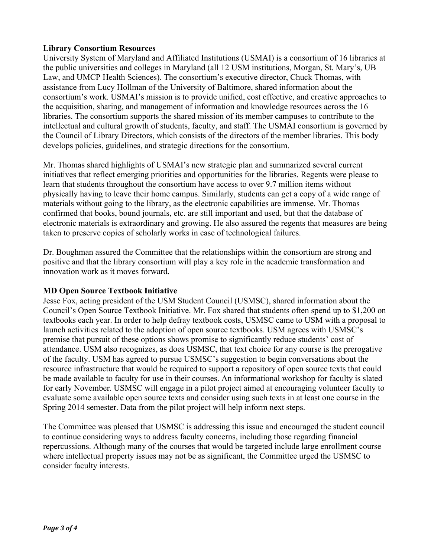## **Library Consortium Resources**

University System of Maryland and Affiliated Institutions (USMAI) is a consortium of 16 libraries at the public universities and colleges in Maryland (all 12 USM institutions, Morgan, St. Mary's, UB Law, and UMCP Health Sciences). The consortium's executive director, Chuck Thomas, with assistance from Lucy Hollman of the University of Baltimore, shared information about the consortium's work. USMAI's mission is to provide unified, cost effective, and creative approaches to the acquisition, sharing, and management of information and knowledge resources across the 16 libraries. The consortium supports the shared mission of its member campuses to contribute to the intellectual and cultural growth of students, faculty, and staff. The USMAI consortium is governed by the Council of Library Directors, which consists of the directors of the member libraries. This body develops policies, guidelines, and strategic directions for the consortium.

Mr. Thomas shared highlights of USMAI's new strategic plan and summarized several current initiatives that reflect emerging priorities and opportunities for the libraries. Regents were please to learn that students throughout the consortium have access to over 9.7 million items without physically having to leave their home campus. Similarly, students can get a copy of a wide range of materials without going to the library, as the electronic capabilities are immense. Mr. Thomas confirmed that books, bound journals, etc. are still important and used, but that the database of electronic materials is extraordinary and growing. He also assured the regents that measures are being taken to preserve copies of scholarly works in case of technological failures.

Dr. Boughman assured the Committee that the relationships within the consortium are strong and positive and that the library consortium will play a key role in the academic transformation and innovation work as it moves forward.

## **MD Open Source Textbook Initiative**

Jesse Fox, acting president of the USM Student Council (USMSC), shared information about the Council's Open Source Textbook Initiative. Mr. Fox shared that students often spend up to \$1,200 on textbooks each year. In order to help defray textbook costs, USMSC came to USM with a proposal to launch activities related to the adoption of open source textbooks. USM agrees with USMSC's premise that pursuit of these options shows promise to significantly reduce students' cost of attendance. USM also recognizes, as does USMSC, that text choice for any course is the prerogative of the faculty. USM has agreed to pursue USMSC's suggestion to begin conversations about the resource infrastructure that would be required to support a repository of open source texts that could be made available to faculty for use in their courses. An informational workshop for faculty is slated for early November. USMSC will engage in a pilot project aimed at encouraging volunteer faculty to evaluate some available open source texts and consider using such texts in at least one course in the Spring 2014 semester. Data from the pilot project will help inform next steps.

The Committee was pleased that USMSC is addressing this issue and encouraged the student council to continue considering ways to address faculty concerns, including those regarding financial repercussions. Although many of the courses that would be targeted include large enrollment course where intellectual property issues may not be as significant, the Committee urged the USMSC to consider faculty interests.